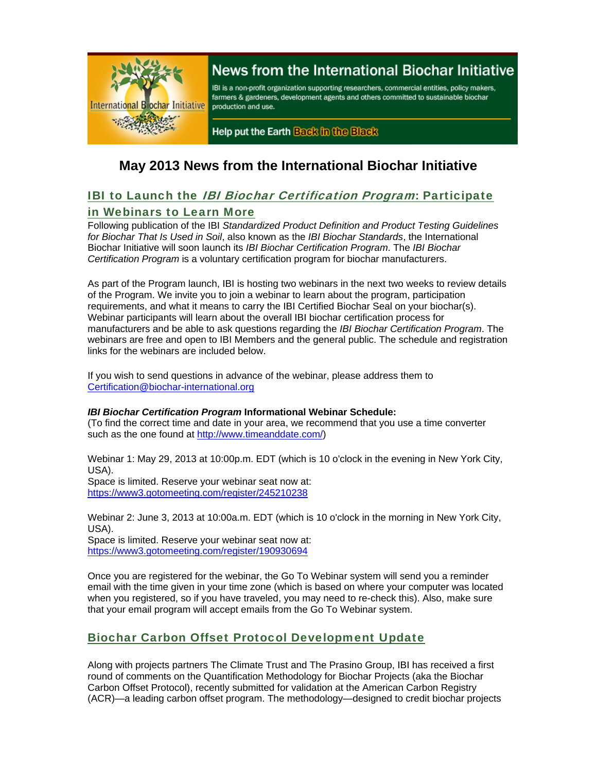

# News from the International Biochar Initiative

IBI is a non-profit organization supporting researchers, commercial entities, policy makers, farmers & gardeners, development agents and others committed to sustainable biochar production and use.

Help put the Earth Back in the Black

# **May 2013 News from the International Biochar Initiative**

### **IBI to Launch the** *IBI Biochar Certification Program***: Participate** in Webinars to Learn More

Following publication of the IBI *Standardized Product Definition and Product Testing Guidelines for Biochar That Is Used in Soil*, also known as the *IBI Biochar Standards*, the International Biochar Initiative will soon launch its *IBI Biochar Certification Program*. The *IBI Biochar Certification Program* is a voluntary certification program for biochar manufacturers.

As part of the Program launch, IBI is hosting two webinars in the next two weeks to review details of the Program. We invite you to join a webinar to learn about the program, participation requirements, and what it means to carry the IBI Certified Biochar Seal on your biochar(s). Webinar participants will learn about the overall IBI biochar certification process for manufacturers and be able to ask questions regarding the *IBI Biochar Certification Program*. The webinars are free and open to IBI Members and the general public. The schedule and registration links for the webinars are included below.

If you wish to send questions in advance of the webinar, please address them to Certification@biochar-international.org

#### *IBI Biochar Certification Program* **Informational Webinar Schedule:**

(To find the correct time and date in your area, we recommend that you use a time converter such as the one found at http://www.timeanddate.com/)

Webinar 1: May 29, 2013 at 10:00p.m. EDT (which is 10 o'clock in the evening in New York City, USA).

Space is limited. Reserve your webinar seat now at: https://www3.gotomeeting.com/register/245210238

Webinar 2: June 3, 2013 at 10:00a.m. EDT (which is 10 o'clock in the morning in New York City, USA).

Space is limited. Reserve your webinar seat now at: https://www3.gotomeeting.com/register/190930694

Once you are registered for the webinar, the Go To Webinar system will send you a reminder email with the time given in your time zone (which is based on where your computer was located when you registered, so if you have traveled, you may need to re-check this). Also, make sure that your email program will accept emails from the Go To Webinar system.

## Biochar Carbon Offset Protocol Development Update

Along with projects partners The Climate Trust and The Prasino Group, IBI has received a first round of comments on the Quantification Methodology for Biochar Projects (aka the Biochar Carbon Offset Protocol), recently submitted for validation at the American Carbon Registry (ACR)—a leading carbon offset program. The methodology—designed to credit biochar projects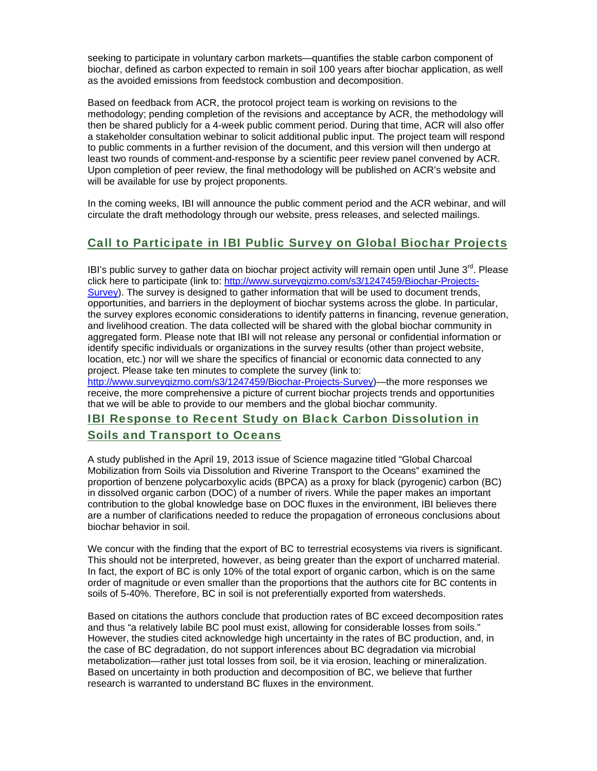seeking to participate in voluntary carbon markets—quantifies the stable carbon component of biochar, defined as carbon expected to remain in soil 100 years after biochar application, as well as the avoided emissions from feedstock combustion and decomposition.

Based on feedback from ACR, the protocol project team is working on revisions to the methodology; pending completion of the revisions and acceptance by ACR, the methodology will then be shared publicly for a 4-week public comment period. During that time, ACR will also offer a stakeholder consultation webinar to solicit additional public input. The project team will respond to public comments in a further revision of the document, and this version will then undergo at least two rounds of comment-and-response by a scientific peer review panel convened by ACR. Upon completion of peer review, the final methodology will be published on ACR's website and will be available for use by project proponents.

In the coming weeks, IBI will announce the public comment period and the ACR webinar, and will circulate the draft methodology through our website, press releases, and selected mailings.

### Call to Participate in IBI Public Survey on Global Biochar Projects

IBI's public survey to gather data on biochar project activity will remain open until June  $3<sup>rd</sup>$ . Please click here to participate (link to: http://www.surveygizmo.com/s3/1247459/Biochar-Projects-Survey). The survey is designed to gather information that will be used to document trends, opportunities, and barriers in the deployment of biochar systems across the globe. In particular, the survey explores economic considerations to identify patterns in financing, revenue generation, and livelihood creation. The data collected will be shared with the global biochar community in aggregated form. Please note that IBI will not release any personal or confidential information or identify specific individuals or organizations in the survey results (other than project website, location, etc.) nor will we share the specifics of financial or economic data connected to any project. Please take ten minutes to complete the survey (link to:

http://www.surveygizmo.com/s3/1247459/Biochar-Projects-Survey)—the more responses we receive, the more comprehensive a picture of current biochar projects trends and opportunities that we will be able to provide to our members and the global biochar community.

## IBI Response to Recent Study on Black Carbon Dissolution in Soils and Transport to Oceans

A study published in the April 19, 2013 issue of Science magazine titled "Global Charcoal Mobilization from Soils via Dissolution and Riverine Transport to the Oceans" examined the proportion of benzene polycarboxylic acids (BPCA) as a proxy for black (pyrogenic) carbon (BC) in dissolved organic carbon (DOC) of a number of rivers. While the paper makes an important contribution to the global knowledge base on DOC fluxes in the environment, IBI believes there are a number of clarifications needed to reduce the propagation of erroneous conclusions about biochar behavior in soil.

We concur with the finding that the export of BC to terrestrial ecosystems via rivers is significant. This should not be interpreted, however, as being greater than the export of uncharred material. In fact, the export of BC is only 10% of the total export of organic carbon, which is on the same order of magnitude or even smaller than the proportions that the authors cite for BC contents in soils of 5-40%. Therefore, BC in soil is not preferentially exported from watersheds.

Based on citations the authors conclude that production rates of BC exceed decomposition rates and thus "a relatively labile BC pool must exist, allowing for considerable losses from soils." However, the studies cited acknowledge high uncertainty in the rates of BC production, and, in the case of BC degradation, do not support inferences about BC degradation via microbial metabolization—rather just total losses from soil, be it via erosion, leaching or mineralization. Based on uncertainty in both production and decomposition of BC, we believe that further research is warranted to understand BC fluxes in the environment.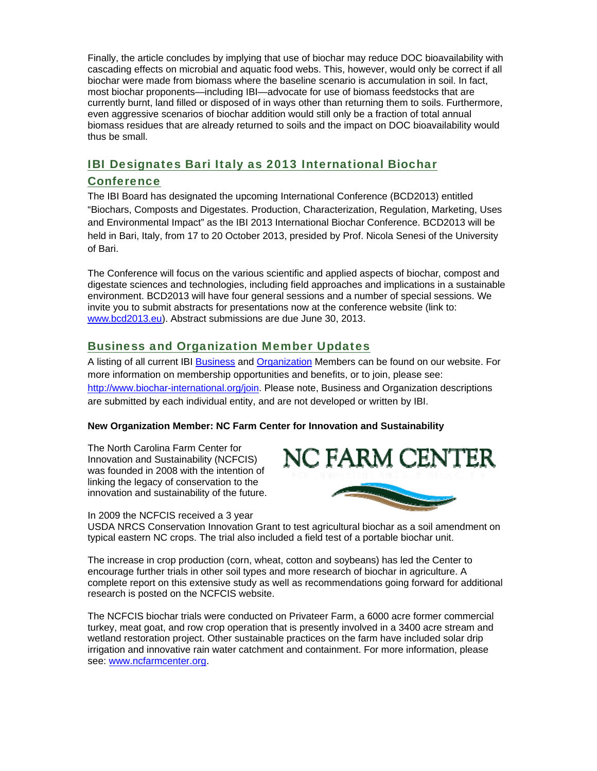Finally, the article concludes by implying that use of biochar may reduce DOC bioavailability with cascading effects on microbial and aquatic food webs. This, however, would only be correct if all biochar were made from biomass where the baseline scenario is accumulation in soil. In fact, most biochar proponents—including IBI—advocate for use of biomass feedstocks that are currently burnt, land filled or disposed of in ways other than returning them to soils. Furthermore, even aggressive scenarios of biochar addition would still only be a fraction of total annual biomass residues that are already returned to soils and the impact on DOC bioavailability would thus be small.

### IBI Designates Bari Italy as 2013 International Biochar

### **Conference**

The IBI Board has designated the upcoming International Conference (BCD2013) entitled "Biochars, Composts and Digestates. Production, Characterization, Regulation, Marketing, Uses and Environmental Impact" as the IBI 2013 International Biochar Conference. BCD2013 will be held in Bari, Italy, from 17 to 20 October 2013, presided by Prof. Nicola Senesi of the University of Bari.

The Conference will focus on the various scientific and applied aspects of biochar, compost and digestate sciences and technologies, including field approaches and implications in a sustainable environment. BCD2013 will have four general sessions and a number of special sessions. We invite you to submit abstracts for presentations now at the conference website (link to: www.bcd2013.eu). Abstract submissions are due June 30, 2013.

### Business and Organization Member Updates

A listing of all current IBI Business and Organization Members can be found on our website. For more information on membership opportunities and benefits, or to join, please see: http://www.biochar-international.org/join. Please note, Business and Organization descriptions are submitted by each individual entity, and are not developed or written by IBI.

#### **New Organization Member: NC Farm Center for Innovation and Sustainability**

The North Carolina Farm Center for Innovation and Sustainability (NCFCIS) was founded in 2008 with the intention of linking the legacy of conservation to the innovation and sustainability of the future.



#### In 2009 the NCFCIS received a 3 year

USDA NRCS Conservation Innovation Grant to test agricultural biochar as a soil amendment on typical eastern NC crops. The trial also included a field test of a portable biochar unit.

The increase in crop production (corn, wheat, cotton and soybeans) has led the Center to encourage further trials in other soil types and more research of biochar in agriculture. A complete report on this extensive study as well as recommendations going forward for additional research is posted on the NCFCIS website.

The NCFCIS biochar trials were conducted on Privateer Farm, a 6000 acre former commercial turkey, meat goat, and row crop operation that is presently involved in a 3400 acre stream and wetland restoration project. Other sustainable practices on the farm have included solar drip irrigation and innovative rain water catchment and containment. For more information, please see: www.ncfarmcenter.org.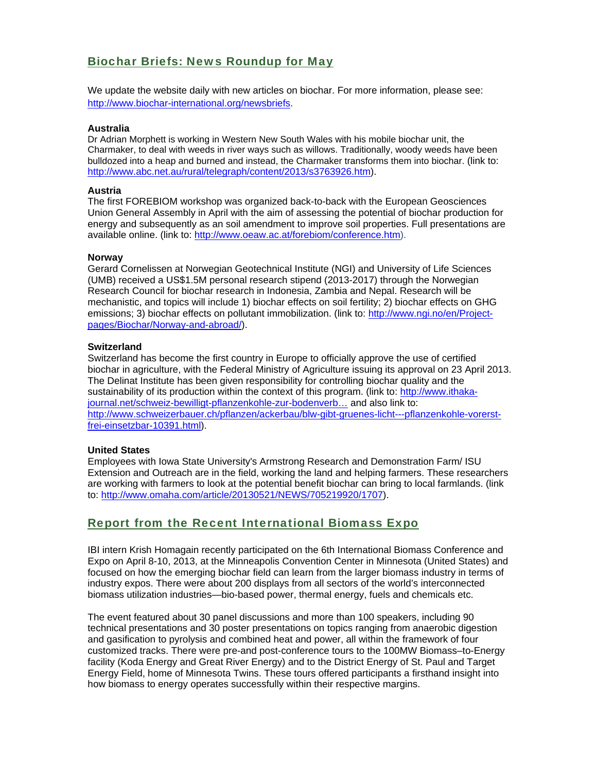### Biochar Briefs: News Roundup for May

We update the website daily with new articles on biochar. For more information, please see: http://www.biochar-international.org/newsbriefs.

#### **Australia**

Dr Adrian Morphett is working in Western New South Wales with his mobile biochar unit, the Charmaker, to deal with weeds in river ways such as willows. Traditionally, woody weeds have been bulldozed into a heap and burned and instead, the Charmaker transforms them into biochar. (link to: http://www.abc.net.au/rural/telegraph/content/2013/s3763926.htm).

#### **Austria**

The first FOREBIOM workshop was organized back-to-back with the European Geosciences Union General Assembly in April with the aim of assessing the potential of biochar production for energy and subsequently as an soil amendment to improve soil properties. Full presentations are available online. (link to: http://www.oeaw.ac.at/forebiom/conference.htm).

#### **Norway**

Gerard Cornelissen at Norwegian Geotechnical Institute (NGI) and University of Life Sciences (UMB) received a US\$1.5M personal research stipend (2013-2017) through the Norwegian Research Council for biochar research in Indonesia, Zambia and Nepal. Research will be mechanistic, and topics will include 1) biochar effects on soil fertility; 2) biochar effects on GHG emissions: 3) biochar effects on pollutant immobilization. (link to: http://www.ngi.no/en/Projectpages/Biochar/Norway-and-abroad/).

#### **Switzerland**

Switzerland has become the first country in Europe to officially approve the use of certified biochar in agriculture, with the Federal Ministry of Agriculture issuing its approval on 23 April 2013. The Delinat Institute has been given responsibility for controlling biochar quality and the sustainability of its production within the context of this program. (link to: http://www.ithakajournal.net/schweiz-bewilligt-pflanzenkohle-zur-bodenverb… and also link to: http://www.schweizerbauer.ch/pflanzen/ackerbau/blw-gibt-gruenes-licht---pflanzenkohle-vorerstfrei-einsetzbar-10391.html).

#### **United States**

Employees with Iowa State University's Armstrong Research and Demonstration Farm/ ISU Extension and Outreach are in the field, working the land and helping farmers. These researchers are working with farmers to look at the potential benefit biochar can bring to local farmlands. (link to: http://www.omaha.com/article/20130521/NEWS/705219920/1707).

### Report from the Recent International Biomass Expo

IBI intern Krish Homagain recently participated on the 6th International Biomass Conference and Expo on April 8-10, 2013, at the Minneapolis Convention Center in Minnesota (United States) and focused on how the emerging biochar field can learn from the larger biomass industry in terms of industry expos. There were about 200 displays from all sectors of the world's interconnected biomass utilization industries—bio-based power, thermal energy, fuels and chemicals etc.

The event featured about 30 panel discussions and more than 100 speakers, including 90 technical presentations and 30 poster presentations on topics ranging from anaerobic digestion and gasification to pyrolysis and combined heat and power, all within the framework of four customized tracks. There were pre-and post-conference tours to the 100MW Biomass–to-Energy facility (Koda Energy and Great River Energy) and to the District Energy of St. Paul and Target Energy Field, home of Minnesota Twins. These tours offered participants a firsthand insight into how biomass to energy operates successfully within their respective margins.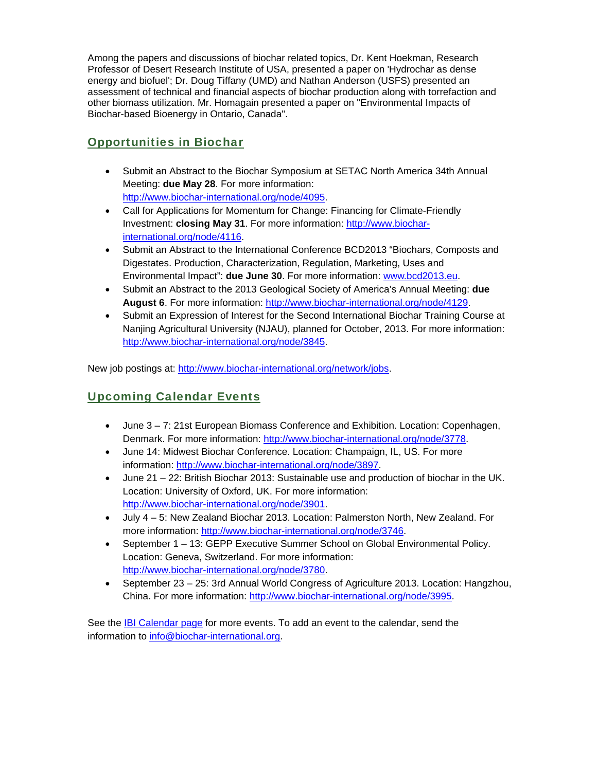Among the papers and discussions of biochar related topics, Dr. Kent Hoekman, Research Professor of Desert Research Institute of USA, presented a paper on 'Hydrochar as dense energy and biofuel'; Dr. Doug Tiffany (UMD) and Nathan Anderson (USFS) presented an assessment of technical and financial aspects of biochar production along with torrefaction and other biomass utilization. Mr. Homagain presented a paper on "Environmental Impacts of Biochar-based Bioenergy in Ontario, Canada".

## Opportunities in Biochar

- Submit an Abstract to the Biochar Symposium at SETAC North America 34th Annual Meeting: **due May 28**. For more information: http://www.biochar-international.org/node/4095.
- Call for Applications for Momentum for Change: Financing for Climate-Friendly Investment: **closing May 31**. For more information: http://www.biocharinternational.org/node/4116.
- Submit an Abstract to the International Conference BCD2013 "Biochars, Composts and Digestates. Production, Characterization, Regulation, Marketing, Uses and Environmental Impact": **due June 30**. For more information: www.bcd2013.eu.
- Submit an Abstract to the 2013 Geological Society of America's Annual Meeting: **due August 6**. For more information: http://www.biochar-international.org/node/4129.
- Submit an Expression of Interest for the Second International Biochar Training Course at Nanjing Agricultural University (NJAU), planned for October, 2013. For more information: http://www.biochar-international.org/node/3845.

New job postings at: http://www.biochar-international.org/network/jobs.

## Upcoming Calendar Events

- June 3 7: 21st European Biomass Conference and Exhibition. Location: Copenhagen, Denmark. For more information: http://www.biochar-international.org/node/3778.
- June 14: Midwest Biochar Conference. Location: Champaign, IL, US. For more information: http://www.biochar-international.org/node/3897.
- June 21 22: British Biochar 2013: Sustainable use and production of biochar in the UK. Location: University of Oxford, UK. For more information: http://www.biochar-international.org/node/3901.
- July 4 5: New Zealand Biochar 2013. Location: Palmerston North, New Zealand. For more information: http://www.biochar-international.org/node/3746.
- September 1 13: GEPP Executive Summer School on Global Environmental Policy. Location: Geneva, Switzerland. For more information: http://www.biochar-international.org/node/3780.
- September 23 25: 3rd Annual World Congress of Agriculture 2013. Location: Hangzhou, China. For more information: http://www.biochar-international.org/node/3995.

See the IBI Calendar page for more events. To add an event to the calendar, send the information to info@biochar-international.org.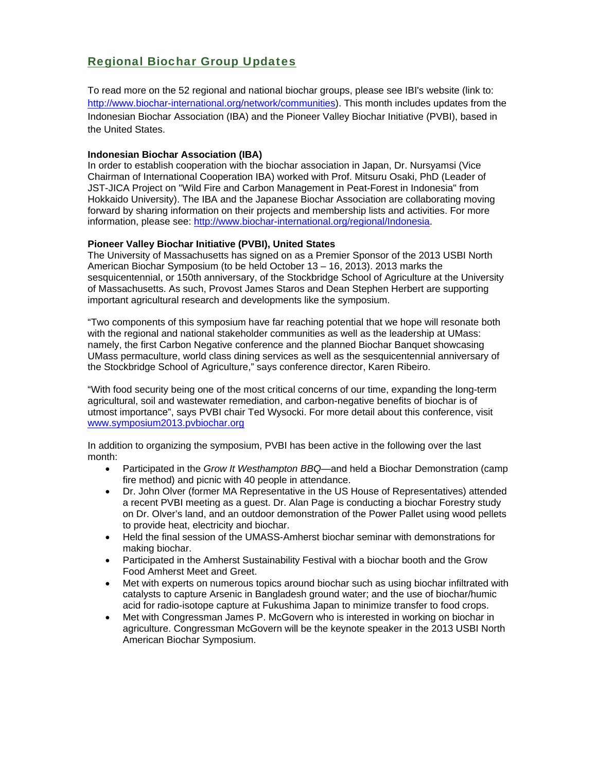## Regional Biochar Group Updates

To read more on the 52 regional and national biochar groups, please see IBI's website (link to: http://www.biochar-international.org/network/communities). This month includes updates from the Indonesian Biochar Association (IBA) and the Pioneer Valley Biochar Initiative (PVBI), based in the United States.

#### **Indonesian Biochar Association (IBA)**

In order to establish cooperation with the biochar association in Japan, Dr. Nursyamsi (Vice Chairman of International Cooperation IBA) worked with Prof. Mitsuru Osaki, PhD (Leader of JST-JICA Project on "Wild Fire and Carbon Management in Peat-Forest in Indonesia" from Hokkaido University). The IBA and the Japanese Biochar Association are collaborating moving forward by sharing information on their projects and membership lists and activities. For more information, please see: http://www.biochar-international.org/regional/Indonesia.

#### **Pioneer Valley Biochar Initiative (PVBI), United States**

The University of Massachusetts has signed on as a Premier Sponsor of the 2013 USBI North American Biochar Symposium (to be held October 13 – 16, 2013). 2013 marks the sesquicentennial, or 150th anniversary, of the Stockbridge School of Agriculture at the University of Massachusetts. As such, Provost James Staros and Dean Stephen Herbert are supporting important agricultural research and developments like the symposium.

"Two components of this symposium have far reaching potential that we hope will resonate both with the regional and national stakeholder communities as well as the leadership at UMass: namely, the first Carbon Negative conference and the planned Biochar Banquet showcasing UMass permaculture, world class dining services as well as the sesquicentennial anniversary of the Stockbridge School of Agriculture," says conference director, Karen Ribeiro.

"With food security being one of the most critical concerns of our time, expanding the long-term agricultural, soil and wastewater remediation, and carbon-negative benefits of biochar is of utmost importance", says PVBI chair Ted Wysocki. For more detail about this conference, visit www.symposium2013.pvbiochar.org

In addition to organizing the symposium, PVBI has been active in the following over the last month:

- Participated in the *Grow It Westhampton BBQ*—and held a Biochar Demonstration (camp fire method) and picnic with 40 people in attendance.
- Dr. John Olver (former MA Representative in the US House of Representatives) attended a recent PVBI meeting as a guest. Dr. Alan Page is conducting a biochar Forestry study on Dr. Olver's land, and an outdoor demonstration of the Power Pallet using wood pellets to provide heat, electricity and biochar.
- Held the final session of the UMASS-Amherst biochar seminar with demonstrations for making biochar.
- Participated in the Amherst Sustainability Festival with a biochar booth and the Grow Food Amherst Meet and Greet.
- Met with experts on numerous topics around biochar such as using biochar infiltrated with catalysts to capture Arsenic in Bangladesh ground water; and the use of biochar/humic acid for radio-isotope capture at Fukushima Japan to minimize transfer to food crops.
- Met with Congressman James P. McGovern who is interested in working on biochar in agriculture. Congressman McGovern will be the keynote speaker in the 2013 USBI North American Biochar Symposium.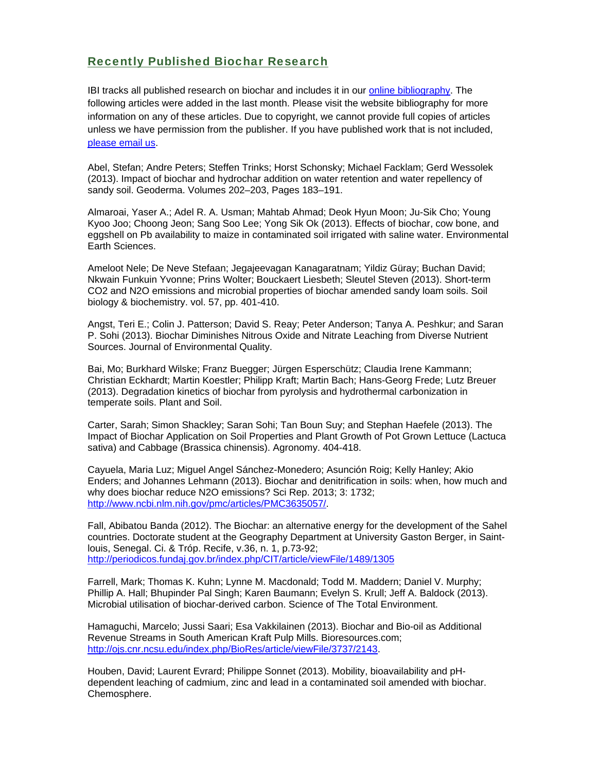### Recently Published Biochar Research

IBI tracks all published research on biochar and includes it in our online bibliography. The following articles were added in the last month. Please visit the website bibliography for more information on any of these articles. Due to copyright, we cannot provide full copies of articles unless we have permission from the publisher. If you have published work that is not included, please email us.

Abel, Stefan; Andre Peters; Steffen Trinks; Horst Schonsky; Michael Facklam; Gerd Wessolek (2013). Impact of biochar and hydrochar addition on water retention and water repellency of sandy soil. Geoderma. Volumes 202–203, Pages 183–191.

Almaroai, Yaser A.; Adel R. A. Usman; Mahtab Ahmad; Deok Hyun Moon; Ju-Sik Cho; Young Kyoo Joo; Choong Jeon; Sang Soo Lee; Yong Sik Ok (2013). Effects of biochar, cow bone, and eggshell on Pb availability to maize in contaminated soil irrigated with saline water. Environmental Earth Sciences.

Ameloot Nele; De Neve Stefaan; Jegajeevagan Kanagaratnam; Yildiz Güray; Buchan David; Nkwain Funkuin Yvonne; Prins Wolter; Bouckaert Liesbeth; Sleutel Steven (2013). Short-term CO2 and N2O emissions and microbial properties of biochar amended sandy loam soils. Soil biology & biochemistry. vol. 57, pp. 401-410.

Angst, Teri E.; Colin J. Patterson; David S. Reay; Peter Anderson; Tanya A. Peshkur; and Saran P. Sohi (2013). Biochar Diminishes Nitrous Oxide and Nitrate Leaching from Diverse Nutrient Sources. Journal of Environmental Quality.

Bai, Mo; Burkhard Wilske; Franz Buegger; Jürgen Esperschütz; Claudia Irene Kammann; Christian Eckhardt; Martin Koestler; Philipp Kraft; Martin Bach; Hans-Georg Frede; Lutz Breuer (2013). Degradation kinetics of biochar from pyrolysis and hydrothermal carbonization in temperate soils. Plant and Soil.

Carter, Sarah; Simon Shackley; Saran Sohi; Tan Boun Suy; and Stephan Haefele (2013). The Impact of Biochar Application on Soil Properties and Plant Growth of Pot Grown Lettuce (Lactuca sativa) and Cabbage (Brassica chinensis). Agronomy. 404-418.

Cayuela, Maria Luz; Miguel Angel Sánchez-Monedero; Asunción Roig; Kelly Hanley; Akio Enders; and Johannes Lehmann (2013). Biochar and denitrification in soils: when, how much and why does biochar reduce N2O emissions? Sci Rep. 2013; 3: 1732; http://www.ncbi.nlm.nih.gov/pmc/articles/PMC3635057/.

Fall, Abibatou Banda (2012). The Biochar: an alternative energy for the development of the Sahel countries. Doctorate student at the Geography Department at University Gaston Berger, in Saintlouis, Senegal. Ci. & Tróp. Recife, v.36, n. 1, p.73-92; http://periodicos.fundaj.gov.br/index.php/CIT/article/viewFile/1489/1305

Farrell, Mark; Thomas K. Kuhn; Lynne M. Macdonald; Todd M. Maddern; Daniel V. Murphy; Phillip A. Hall; Bhupinder Pal Singh; Karen Baumann; Evelyn S. Krull; Jeff A. Baldock (2013). Microbial utilisation of biochar-derived carbon. Science of The Total Environment.

Hamaguchi, Marcelo; Jussi Saari; Esa Vakkilainen (2013). Biochar and Bio-oil as Additional Revenue Streams in South American Kraft Pulp Mills. Bioresources.com; http://ojs.cnr.ncsu.edu/index.php/BioRes/article/viewFile/3737/2143.

Houben, David; Laurent Evrard; Philippe Sonnet (2013). Mobility, bioavailability and pHdependent leaching of cadmium, zinc and lead in a contaminated soil amended with biochar. Chemosphere.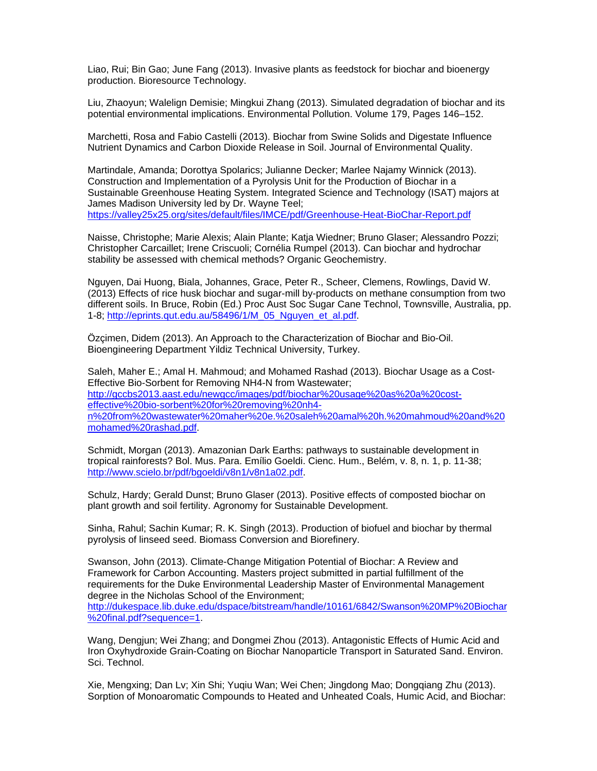Liao, Rui; Bin Gao; June Fang (2013). Invasive plants as feedstock for biochar and bioenergy production. Bioresource Technology.

Liu, Zhaoyun; Walelign Demisie; Mingkui Zhang (2013). Simulated degradation of biochar and its potential environmental implications. Environmental Pollution. Volume 179, Pages 146–152.

Marchetti, Rosa and Fabio Castelli (2013). Biochar from Swine Solids and Digestate Influence Nutrient Dynamics and Carbon Dioxide Release in Soil. Journal of Environmental Quality.

Martindale, Amanda; Dorottya Spolarics; Julianne Decker; Marlee Najamy Winnick (2013). Construction and Implementation of a Pyrolysis Unit for the Production of Biochar in a Sustainable Greenhouse Heating System. Integrated Science and Technology (ISAT) majors at James Madison University led by Dr. Wayne Teel; https://valley25x25.org/sites/default/files/IMCE/pdf/Greenhouse-Heat-BioChar-Report.pdf

Naisse, Christophe; Marie Alexis; Alain Plante; Katja Wiedner; Bruno Glaser; Alessandro Pozzi; Christopher Carcaillet; Irene Criscuoli; Cornélia Rumpel (2013). Can biochar and hydrochar stability be assessed with chemical methods? Organic Geochemistry.

Nguyen, Dai Huong, Biala, Johannes, Grace, Peter R., Scheer, Clemens, Rowlings, David W. (2013) Effects of rice husk biochar and sugar-mill by-products on methane consumption from two different soils. In Bruce, Robin (Ed.) Proc Aust Soc Sugar Cane Technol, Townsville, Australia, pp. 1-8; http://eprints.qut.edu.au/58496/1/M\_05\_Nguyen\_et\_al.pdf.

Özçimen, Didem (2013). An Approach to the Characterization of Biochar and Bio-Oil. Bioengineering Department Yildiz Technical University, Turkey.

Saleh, Maher E.; Amal H. Mahmoud; and Mohamed Rashad (2013). Biochar Usage as a Cost-Effective Bio-Sorbent for Removing NH4-N from Wastewater; http://gccbs2013.aast.edu/newgcc/images/pdf/biochar%20usage%20as%20a%20costeffective%20bio-sorbent%20for%20removing%20nh4 n%20from%20wastewater%20maher%20e.%20saleh%20amal%20h.%20mahmoud%20and%20 mohamed%20rashad.pdf.

Schmidt, Morgan (2013). Amazonian Dark Earths: pathways to sustainable development in tropical rainforests? Bol. Mus. Para. Emílio Goeldi. Cienc. Hum., Belém, v. 8, n. 1, p. 11-38; http://www.scielo.br/pdf/bgoeldi/v8n1/v8n1a02.pdf.

Schulz, Hardy; Gerald Dunst; Bruno Glaser (2013). Positive effects of composted biochar on plant growth and soil fertility. Agronomy for Sustainable Development.

Sinha, Rahul; Sachin Kumar; R. K. Singh (2013). Production of biofuel and biochar by thermal pyrolysis of linseed seed. Biomass Conversion and Biorefinery.

Swanson, John (2013). Climate-Change Mitigation Potential of Biochar: A Review and Framework for Carbon Accounting. Masters project submitted in partial fulfillment of the requirements for the Duke Environmental Leadership Master of Environmental Management degree in the Nicholas School of the Environment; http://dukespace.lib.duke.edu/dspace/bitstream/handle/10161/6842/Swanson%20MP%20Biochar %20final.pdf?sequence=1.

Wang, Dengjun; Wei Zhang; and Dongmei Zhou (2013). Antagonistic Effects of Humic Acid and Iron Oxyhydroxide Grain-Coating on Biochar Nanoparticle Transport in Saturated Sand. Environ. Sci. Technol.

Xie, Mengxing; Dan Lv; Xin Shi; Yuqiu Wan; Wei Chen; Jingdong Mao; Dongqiang Zhu (2013). Sorption of Monoaromatic Compounds to Heated and Unheated Coals, Humic Acid, and Biochar: